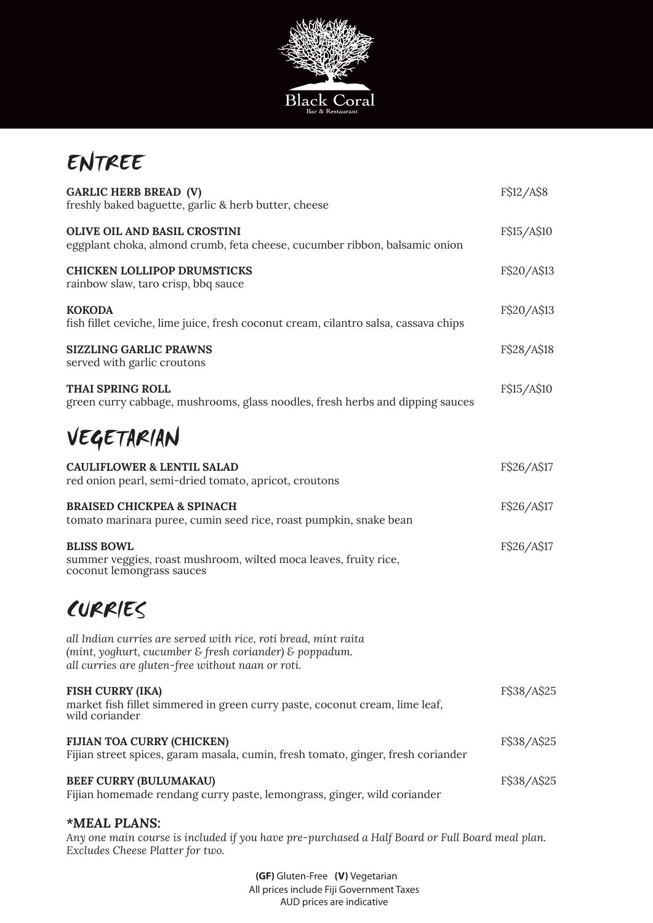

## ENTREE

| <b>GARLIC HERB BREAD (V)</b><br>freshly baked baguette, garlic & herb butter, cheese                                                                                            | F\$12/A\$8  |
|---------------------------------------------------------------------------------------------------------------------------------------------------------------------------------|-------------|
| <b>OLIVE OIL AND BASIL CROSTINI</b><br>eggplant choka, almond crumb, feta cheese, cucumber ribbon, balsamic onion                                                               | F\$15/A\$10 |
| <b>CHICKEN LOLLIPOP DRUMSTICKS</b><br>rainbow slaw, taro crisp, bbq sauce                                                                                                       | F\$20/A\$13 |
| KOKODA<br>fish fillet ceviche, lime juice, fresh coconut cream, cilantro salsa, cassava chips                                                                                   | F\$20/A\$13 |
| <b>SIZZLING GARLIC PRAWNS</b><br>served with garlic croutons                                                                                                                    | F\$28/A\$18 |
| <b>THAI SPRING ROLL</b><br>green curry cabbage, mushrooms, glass noodles, fresh herbs and dipping sauces                                                                        | F\$15/A\$10 |
| VEGETARIAN                                                                                                                                                                      |             |
| <b>CAULIFLOWER &amp; LENTIL SALAD</b><br>red onion pearl, semi-dried tomato, apricot, croutons                                                                                  | F\$26/A\$17 |
| <b>BRAISED CHICKPEA &amp; SPINACH</b><br>tomato marinara puree, cumin seed rice, roast pumpkin, snake bean                                                                      | F\$26/A\$17 |
| <b>BLISS BOWL</b><br>summer veggies, roast mushroom, wilted moca leaves, fruity rice,<br>coconut lemongrass sauces                                                              | F\$26/A\$17 |
| CURRIES                                                                                                                                                                         |             |
| all Indian curries are served with rice, roti bread, mint raita<br>(mint, yoghurt, cucumber & fresh coriander) & poppadum.<br>all curries are gluten-free without naan or roti. |             |
| <b>FISH CURRY (IKA)</b><br>market fish fillet simmered in green curry paste, coconut cream, lime leaf,<br>wild coriander                                                        | F\$38/A\$25 |
| FIJIAN TOA CURRY (CHICKEN)<br>Fijian street spices, garam masala, cumin, fresh tomato, ginger, fresh coriander                                                                  | F\$38/A\$25 |
| <b>BEEF CURRY (BULUMAKAU)</b><br>Fijian homemade rendang curry paste, lemongrass, ginger, wild coriander                                                                        | F\$38/A\$25 |
|                                                                                                                                                                                 |             |

## *\*MEAL PLANS:*

*Any one main course is included if you have pre-purchased a Half Board or Full Board meal plan. Excludes Cheese Platter for two.*

> All prices include Fiji Government Taxes AUD prices are indicative **(GF)** Gluten-Free **(V)** Vegetarian